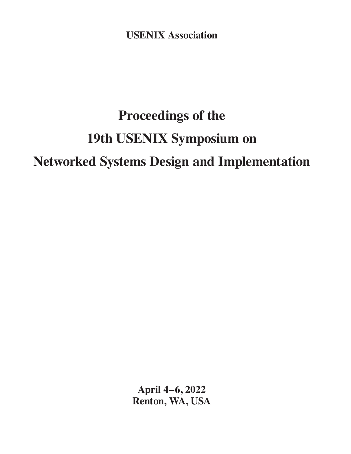**USENIX Association**

# **Proceedings of the 19th USENIX Symposium on Networked Systems Design and Implementation**

**April 4–6, 2022 Renton, WA, USA**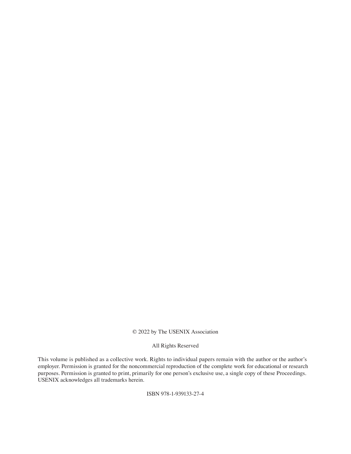## © 2022 by The USENIX Association

#### All Rights Reserved

This volume is published as a collective work. Rights to individual papers remain with the author or the author's employer. Permission is granted for the noncommercial reproduction of the complete work for educational or research purposes. Permission is granted to print, primarily for one person's exclusive use, a single copy of these Proceedings. USENIX acknowledges all trademarks herein.

ISBN 978-1-939133-27-4